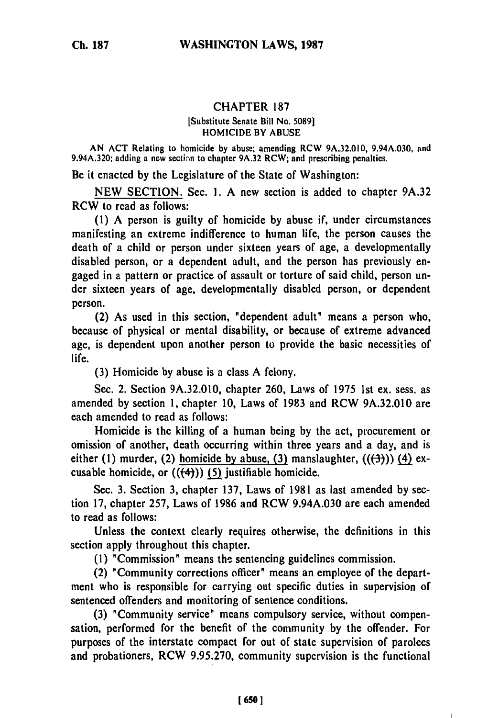# **Ch. 187**

## CHAPTER **187**

#### [Substitute Senate Bill No. **50891** HOMICIDE BY ABUSE

AN ACT Relating to homicide **by** abuse; amending RCW 9A.32.010, 9.94A.030, and 9.94A.320; adding a new section to chapter 9A.32 RCW; and prescribing penalties.

Be it enacted **by** the Legislature of the State of Washington:

NEW SECTION. Sec. **1.** A new section is added to chapter 9A.32 RCW to read as follows:

**(1)** A person is guilty of homicide by abuse if, under circumstances manifesting an extreme indifference to human life, the person causes the death of a child or person under sixteen years of age, a developmentally disabled person, or a dependent adult, and the person has previously engaged in a pattern or practice of assault or torture of said child, person under sixteen years of age, developmentally disabled person, or dependent person.

(2) As used in this section, "dependent adult" means a person who, because of physical or mental disability, or because of extreme advanced age, is dependent upon another person to provide the basic necessities of life.

(3) Homicide by abuse is a class A felony.

Sec. 2. Section 9A.32.010, chapter 260, Laws of 1975 1st ex. sess. as amended by section **1,** chapter **10,** Laws of 1983 and RCW **9A.32.010** are each amended to read as follows:

Homicide is the killing of a human being by the act, procurement or omission of another, death occurring within three years and a day, and is either (1) murder, (2) homicide by abuse, (3) manslaughter,  $((\frac{1}{2}))$  (4) excusable homicide, or  $((4))$  (5) justifiable homicide.

Sec. **3.** Section **3,** chapter **137,** Laws of **1981** as last amended **by** section 17, chapter 257, Laws of 1986 and RCW 9.94A.030 are each amended to read as follows:

Unless the context clearly requires otherwise, the definitions in this section apply throughout this chapter.

**(1)** "Commission" means the sentencing guidelines commission.

(2) 'Community corrections officer" means an employee of the department who is responsible for carrying out specific duties in supervision of sentenced offenders and monitoring of sentence conditions.

(3) "Community service" means compulsory service, without compensation, performed for the benefit of the community by the offender. For purposes of the interstate compact for out of state supervision of parolees and probationers, RCW 9.95.270, community supervision is the functional

 $\overline{1}$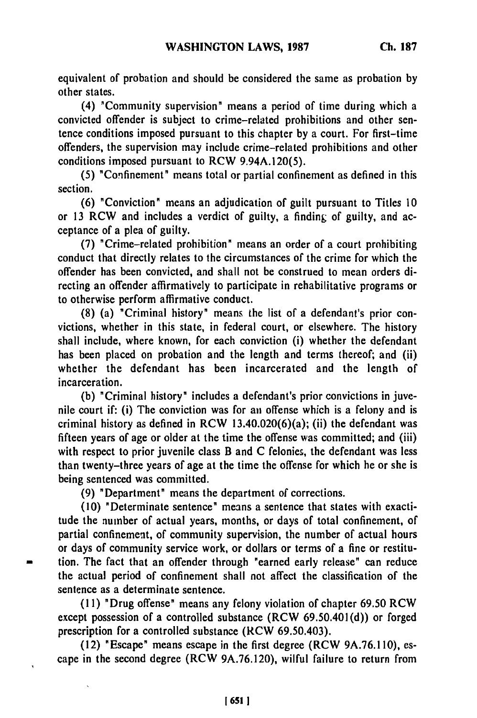equivalent of probation and should be considered the same as probation **by** other states.

(4) "Community supervision" means a period of time during which a convicted offender is subject to crime-related prohibitions and other sentence conditions imposed pursuant to this chapter **by** a court. For first-time offenders, the supervision may include crime-related prohibitions and other conditions imposed pursuant to RCW 9.94A.120(5).

**(5)** "Confinement" means total or partial confinement as defined in this section.

**(6)** "Conviction" means an adjudication of guilt pursuant to Titles **10** or **13** RCW and includes a verdict of guilty, a finding of guilty, and acceptance of a plea of guilty.

**(7)** "Crime-related prohibition" means an order of a court prohibiting conduct that directly relates to the circumstances of the crime for which the offender has been convicted, and shall not be construed to mean orders directing an offender affirmatively to participate in rehabilitative programs or to otherwise perform affirmative conduct.

**(8)** (a) "Criminal history" means the list of a defendant's prior convictions, whether in this state, in federal court, or elsewhere. The history shall include, where known, for each conviction (i) whether the defendant has been placed on probation and the length and terms thereof; and (ii) whether the defendant has been incarcerated and the length of incarceration.

**(b)** "Criminal history" includes a defendant's prior convictions in juvenile court if: (i) The conviction was for an offense which is a felony and is criminal history as defined in RCW  $13.40.020(6)(a)$ ; (ii) the defendant was fifteen years of age or older at the time the offense was committed; and (iii) with respect to prior juvenile class B and C felonies, the defendant was less than twenty-three years of age at the time the offense for which he or she is being sentenced was committed.

(9) "Department" means the department of corrections.

(10) "Determinate sentence" means a sentence that states with exactitude the number of actual years, months, or days of total confinement, of partial confinement, of community supervision, the number of actual hours or days of community service work, or dollars or terms of a fine or restitution. The fact that an offender through "earned early release" can reduce the actual period of confinement shall not affect the classification of the sentence as a determinate sentence.

**(11)** "Drug offense" means any felony violation of chapter **69.50** RCW except possession of a controlled substance (RCW 69.50.401(d)) or forged prescription for a controlled substance (RCW 69.50.403).

**(12)** "Escape" means escape in the first degree (RCW **9A.76.1 10),** escape in the second degree (RCW 9A.76.120), wilful failure to return from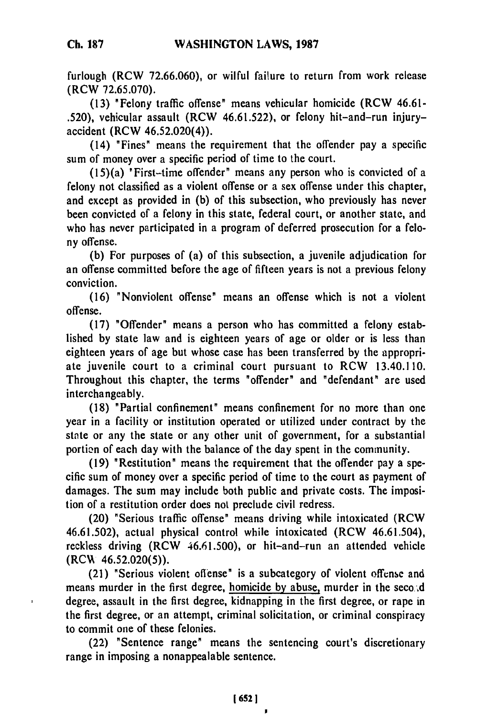furlough (RCW **72.66.060),** or wilful failure to return from work release (RCW 72.65.070).

(13) "Felony traffic offense" means vehicular homicide (RCW 46.61- .520), vehicular assault (RCW 46.61.522), or felony hit-and-run injuryaccident (RCW 46.52.020(4)).

(14) "Fines" means the requirement that the offender pay a specific sum of money over a specific period of time to the court.

(15)(a) 'First-time offender" means any person who is convicted of a felony not classified as a violent offense or a sex offense under this chapter, and except as provided in (b) of this subsection, who previously has never been convicted of a felony in this state, federal court, or another state, and who has never participated in a program of deferred prosecution for a felony offense.

(b) For purposes of (a) of this subsection, a juvenile adjudication for an offense committed before the age of fifteen years is not a previous felony conviction.

(16) "Nonviolent offense" means an offense which is not a violent offense.

(17) "Offender" means a person who has committed a felony established by state law and is eighteen years of age or older or is less than eighteen years of age but whose case has been transferred by the appropriate juvenile court to a criminal court pursuant to RCW 13.40.110. Throughout this chapter, the terms "offender" and "defendant" are used interchangeably.

(18) "Partial confinement" means confinement for no more than one year in a facility or institution operated or utilized under contract by the state or any the state or any other unit of government, for a substantial portion of each day with the balance of the day spent in the community.

(19) "Restitution" means the requirement that the offender pay a specific sum of money over a specific period of time to the court as payment of damages. The sum may include both public and private costs. The imposition of a restitution order does not preclude civil redress.

(20) "Serious traffic offense" means driving while intoxicated (RCW 46.61.502), actual physical control while intoxicated (RCW 46.61.504), reckless driving (RCW 46.61.500), or hit-and-run an attended vehicle  $(RCW 46.52.020(5)).$ 

(21) "Serious violent oflense" is a subcategory of violent offense and means murder in the first degree, homicide by abuse, murder in the seco, d degree, assault in the first degree, kidnapping in the first degree, or rape in the first degree, or an attempt, criminal solicitation, or criminal conspiracy to commit one of these felonies.

(22) "Sentence range" means the sentencing court's discretionary range in imposing a nonappealable sentence.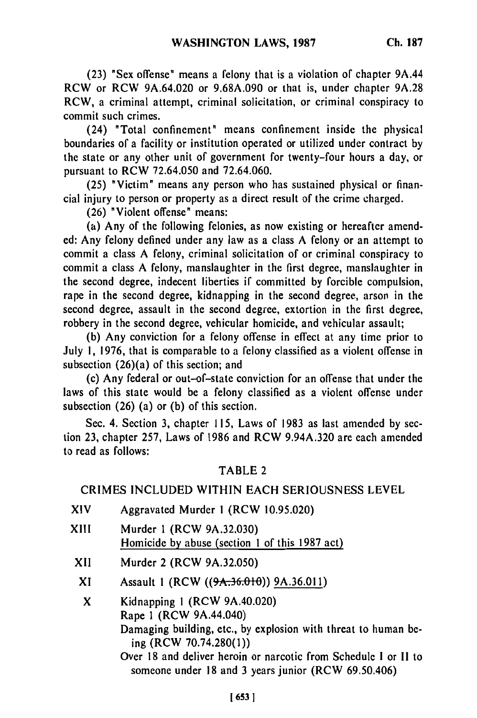(23) "Sex offense" means a felony that is a violation of chapter 9A.44 RCW or RCW 9A.64.020 or 9.68A.090 or that is, under chapter 9A.28 RCW, a criminal attempt, criminal solicitation, or criminal conspiracy to commit such crimes.

(24) "Total confinement" means confinement inside the physical boundaries of a facility or institution operated or utilized under contract by the state or any other unit of government for twenty-four hours a day, or pursuant to RCW 72.64.050 and 72.64.060.

(25) "Victim" means any person who has sustained physical or financial injury to person or property as a direct result of the crime charged.

(26) "Violent offense" means:

(a) Any of the following felonies, as now existing or hereafter amended: Any felony defined under any law as a class A felony or an attempt to commit a class A felony, criminal solicitation of or criminal conspiracy to commit a class A felony, manslaughter in the first degree, manslaughter in the second degree, indecent liberties if committed by forcible compulsion, rape in the second degree, kidnapping in the second degree, arson in the second degree, assault in the second degree, extortion in the first degree, robbery in the second degree, vehicular homicide, and vehicular assault;

(b) Any conviction for a felony offense in effect at any time prior to July 1, 1976, that is comparable to a felony classified as a violent offense in subsection (26)(a) of this section; and

(c) Any federal or out-of-state conviction for an offense that under the laws of this state would be a felony classified as a violent offense under subsection (26) (a) or (b) of this section.

Sec. 4. Section 3, chapter 115, Laws of 1983 as last amended by section 23, chapter 257, Laws of 1986 and RCW 9.94A.320 are each amended to read as follows:

#### TABLE 2

### CRIMES INCLUDED WITHIN EACH SERIOUSNESS LEVEL

- XIV Aggravated Murder **I** (RCW 10.95.020)
- XIII Murder **I** (RCW 9A.32.030) Homicide by abuse (section 1 of this 1987 act)
	- XII Murder 2 (RCW 9A.32.050)
	- XI Assault **I** (RCW **((9A.36.01** )) 9A.36.01 **1)**

X Kidnapping **I** (RCW 9A.40.020) Rape **I** (RCW 9A.44.040) Damaging building, etc., by explosion with threat to human being (RCW 70.74.280(1)) Over 18 and deliver heroin or narcotic from Schedule I or **I1** to someone under 18 and 3 years junior (RCW 69.50.406)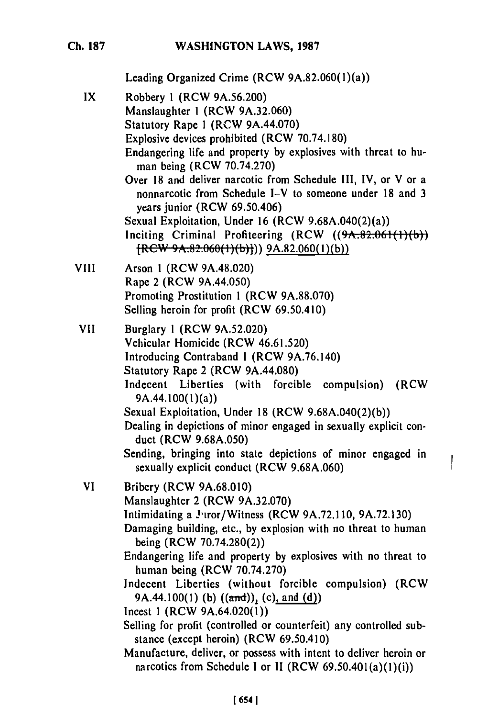## **WASHINGTON LAWS, 1987**

**Ch. 187**

Leading Organized Crime (RCW 9A.82.060(l)(a))

IX Robbery **I** (RCW 9A.56.200) Manslaughter 1 (RCW 9A.32.060) Statutory Rape I (RCW 9A.44.070) Explosive devices prohibited (RCW 70.74.180) Endangering life and property by explosives with threat to human being (RCW 70.74.270) Over 18 and deliver narcotic from Schedule 1II, IV, or V or a nonnarcotic from Schedule I-V to someone under 18 and 3 years junior (RCW 69.50.406) Sexual Exploitation, Under 16 (RCW 9.68A.040(2)(a)) Inciting Criminal Profiteering  $(RCW \ (9A.82.061(1)(b))$  $[REW-9A.82.060(1)(b)]$ ) 9A.82.060(1)(b)) **VIII** Arson **1** (RCW 9A.48.020) Rape 2 (RCW 9A.44.050) Promoting Prostitution **I** (RCW 9A.88.070) Selling heroin for profit (RCW 69.50.410) **VII** Burglary **I** (RCW 9A.52.020) Vehicular Homicide (RCW 46.61.520) Introducing Contraband **I** (RCW 9A.76.140) Statutory Rape 2 (RCW 9A.44.080) Indecent Liberties (with forcible compulsion) (RCW 9A.44.100(l)(a)) Sexual Exploitation, Under 18 (RCW 9.68A.040(2)(b)) Dealing in depictions of minor engaged in sexually explicit conduct (RCW 9.68A.050) Sending, bringing into state depictions of minor engaged in sexually explicit conduct (RCW 9.68A.060) VI Bribery (RCW 9A.68.010) Manslaughter 2 (RCW 9A.32.070) Intimidating a Juror/Witness (RCW 9A.72.110, 9A.72.130) Damaging building, etc., by explosion with no threat to human being (RCW 70.74.280(2)) Endangering life and property by explosives with no threat to human being (RCW 70.74.270) Indecent Liberties (without forcible compulsion) (RCW 9A.44.100(1) **(b)** ((and)), (c), and (d)) Incest **I** (RCW 9A.64.020(l)) Selling for profit (controlled or counterfeit) any controlled substance (except heroin) (RCW 69.50.410) Manufacture, deliver, or possess with intent to deliver heroin or

 $\mathbf{I}$ 

narcotics from Schedule I or II (RCW 69.50.401(a)(1)(i))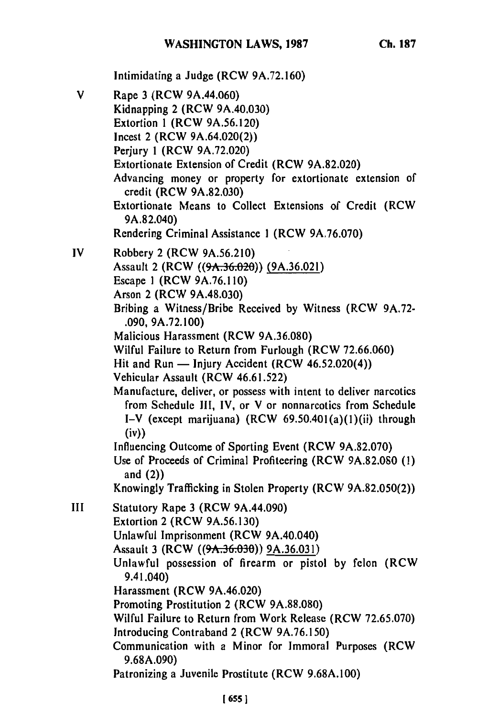Intimidating a Judge (RCW **9A.72.160)** V Rape **3** (RCW 9A.44.060) Kidnapping 2 (RCW 9A.40.030) Extortion 1 (RCW 9A.56.120) Incest 2 (RCW 9A.64.020(2)) Perjury 1 (RCW 9A.72.020) Extortionate Extension of Credit (RCW 9A.82.020) Advancing money or property for extortionate extension of credit (RCW 9A.82.030) Extortionate Means to Collect Extensions of Credit (RCW 9A.82.040) Rendering Criminal Assistance **I** (RCW 9A.76.070) IV Robbery 2 (RCW 9A.56.210) Assault 2 (RCW **((9A.36 20))** (9A.36.021) Escape **I** (RCW 9A.76.110) Arson 2 (RCW 9A.48.030) Bribing a Witness/Bribe Received **by** Witness (RCW 9A.72- **.090,** 9A.72.100) Malicious Harassment (RCW 9A.36.080) Wilful Failure to Return from Furlough (RCW 72.66.060) Hit and Run  $-$  Injury Accident (RCW 46.52.020(4)) Vehicular Assault (RCW 46.61.522) Manufacture, deliver, or possess with intent to deliver narcotics from Schedule Ill, IV, or V or nonnarcotics from Schedule I-V (except marijuana) (RCW 69.50.401(a)(I)(ii) through (iv)) Influencing Outcome of Sporting Event (RCW **9A.82.070)** Use of Proceeds of Criminal Profiteering (RCW **9A.82.080 (1)** and (2)) Knowingly Trafficking in Stolen Property (RCW 9A.82.050(2)) III Statutory Rape **3** (RCW 9A.44.090) Extortion 2 (RCW 9A.56.130) Unlawful Imprisonment (RCW 9A.40.040) Assault 3 (RCW **((9A.36.030))** 9A.36.031) Unlawful possession of firearm or pistol by felon (RCW 9.41.040) Harassment (RCW 9A.46.020) Promoting Prostitution 2 (RCW 9A.88.080) Wilful Failure to Return from Work Release (RCW 72.65.070) Introducing Contraband 2 (RCW 9A.76.150) Communication with a Minor for Immoral Purposes (RCW 9.68A.090) Patronizing a Juvenile Prostitute (RCW 9.68A.100)